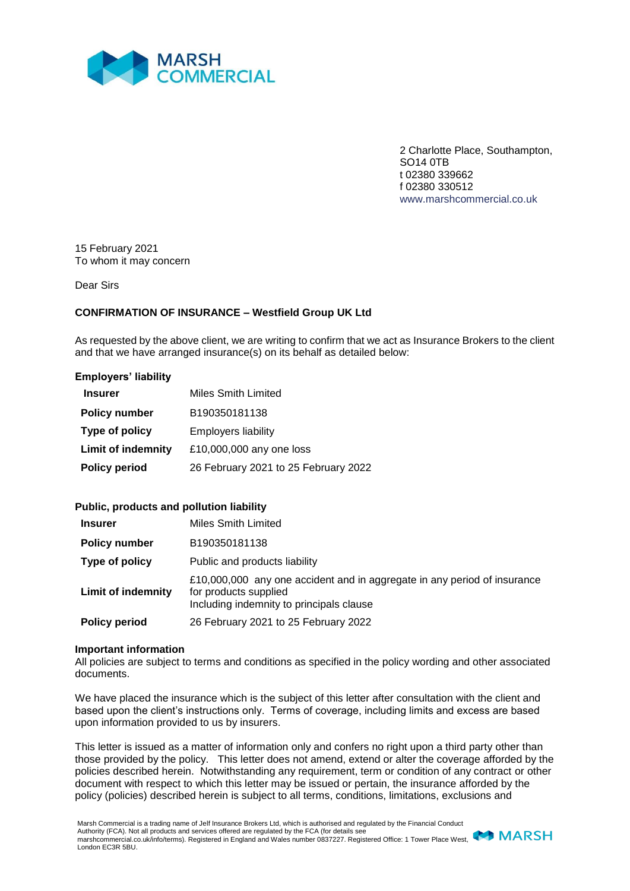

2 Charlotte Place, Southampton, SO14 0TB t 02380 339662 f 02380 330512 www.marshcommercial.co.uk

15 February 2021 To whom it may concern

Dear Sirs

## **CONFIRMATION OF INSURANCE – Westfield Group UK Ltd**

As requested by the above client, we are writing to confirm that we act as Insurance Brokers to the client and that we have arranged insurance(s) on its behalf as detailed below:

## **Employers' liability**

| <b>Insurer</b>            | Miles Smith Limited                  |
|---------------------------|--------------------------------------|
| <b>Policy number</b>      | B190350181138                        |
| Type of policy            | <b>Employers liability</b>           |
| <b>Limit of indemnity</b> | £10,000,000 any one loss             |
| <b>Policy period</b>      | 26 February 2021 to 25 February 2022 |

## **Public, products and pollution liability**

| <b>Insurer</b>            | Miles Smith Limited                                                                                                                           |
|---------------------------|-----------------------------------------------------------------------------------------------------------------------------------------------|
| <b>Policy number</b>      | B190350181138                                                                                                                                 |
| Type of policy            | Public and products liability                                                                                                                 |
| <b>Limit of indemnity</b> | £10,000,000 any one accident and in aggregate in any period of insurance<br>for products supplied<br>Including indemnity to principals clause |
| <b>Policy period</b>      | 26 February 2021 to 25 February 2022                                                                                                          |

## **Important information**

All policies are subject to terms and conditions as specified in the policy wording and other associated documents.

We have placed the insurance which is the subject of this letter after consultation with the client and based upon the client's instructions only. Terms of coverage, including limits and excess are based upon information provided to us by insurers.

This letter is issued as a matter of information only and confers no right upon a third party other than those provided by the policy. This letter does not amend, extend or alter the coverage afforded by the policies described herein. Notwithstanding any requirement, term or condition of any contract or other document with respect to which this letter may be issued or pertain, the insurance afforded by the policy (policies) described herein is subject to all terms, conditions, limitations, exclusions and